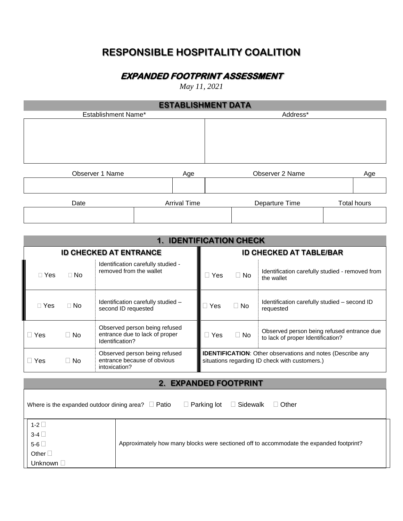## **RESPONSIBLE HOSPITALITY COALITION**

## **EXPANDED FOOTPRINT ASSESSMENT**

*May 11, 2021*

| <b>ESTABLISHMENT DATA</b> |                     |                 |                    |  |
|---------------------------|---------------------|-----------------|--------------------|--|
| Establishment Name*       |                     | Address*        |                    |  |
|                           |                     |                 |                    |  |
| Observer 1 Name           |                     | Observer 2 Name |                    |  |
|                           | Age                 |                 | Age                |  |
| Date                      | <b>Arrival Time</b> | Departure Time  | <b>Total hours</b> |  |
|                           |                     |                 |                    |  |

| <b>1. IDENTIFICATION CHECK</b> |           |                                                                                    |            |           |                                                                                                                     |
|--------------------------------|-----------|------------------------------------------------------------------------------------|------------|-----------|---------------------------------------------------------------------------------------------------------------------|
| <b>ID CHECKED AT ENTRANCE</b>  |           | <b>ID CHECKED AT TABLE/BAR</b>                                                     |            |           |                                                                                                                     |
| $\Box$ Yes                     | $\Box$ No | Identification carefully studied -<br>removed from the wallet                      | <b>Yes</b> | $\Box$ No | Identification carefully studied - removed from<br>the wallet                                                       |
| $\Box$ Yes                     | $\Box$ No | Identification carefully studied -<br>second ID requested                          | Yes        | $\Box$ No | Identification carefully studied – second ID<br>requested                                                           |
| Yes                            | $\Box$ No | Observed person being refused<br>entrance due to lack of proper<br>Identification? | Yes        | $\Box$ No | Observed person being refused entrance due<br>to lack of proper Identification?                                     |
| Yes                            | $\Box$ No | Observed person being refused<br>entrance because of obvious<br>intoxication?      |            |           | <b>IDENTIFICATION:</b> Other observations and notes (Describe any<br>situations regarding ID check with customers.) |

## **2. EXPANDED FOOTPRINT**

| Where is the expanded outdoor dining area? $\Box$ Patio | $\Box$ Sidewalk<br>$\Box$ Parking lot<br>$\Box$ Other                                   |  |  |
|---------------------------------------------------------|-----------------------------------------------------------------------------------------|--|--|
| 1-2 $\square$                                           |                                                                                         |  |  |
| $3-4$                                                   |                                                                                         |  |  |
| 5-6 $\square$                                           | Approximately how many blocks were sectioned off to accommodate the expanded footprint? |  |  |
| Other $\square$                                         |                                                                                         |  |  |
| Unknown D                                               |                                                                                         |  |  |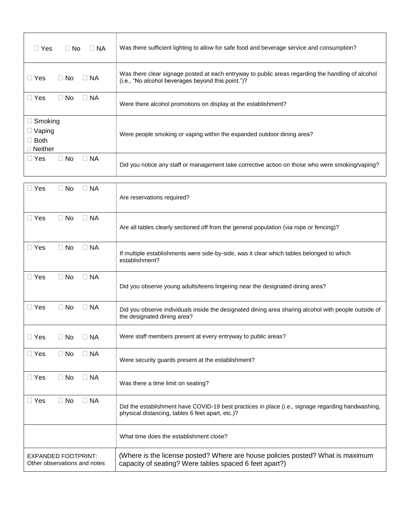| $\Box$ Yes<br>$\Box$ NA<br>⊟ No                                  | Was there sufficient lighting to allow for safe food and beverage service and consumption?                                                              |
|------------------------------------------------------------------|---------------------------------------------------------------------------------------------------------------------------------------------------------|
| $\Box$ NA<br>$\Box$ Yes<br>$\Box$ No                             | Was there clear signage posted at each entryway to public areas regarding the handling of alcohol<br>(i.e., "No alcohol beverages beyond this point.")? |
| $\Box$ Yes<br>$\Box$ No<br>$\Box$ NA                             | Were there alcohol promotions on display at the establishment?                                                                                          |
| $\Box$ Smoking<br>$\Box$ Vaping<br>$\Box$ Both<br>$\Box$ Neither | Were people smoking or vaping within the expanded outdoor dining area?                                                                                  |
| $\Box$ Yes<br>$\Box$ NA<br>$\Box$ No                             | Did you notice any staff or management take corrective action on those who were smoking/vaping?                                                         |

| $\Box$ Yes<br>$\Box$ NA<br>$\Box$ No                       | Are reservations required?                                                                                                                            |
|------------------------------------------------------------|-------------------------------------------------------------------------------------------------------------------------------------------------------|
| $\Box$ NA<br>$\Box$ Yes<br>$\Box$ No                       | Are all tables clearly sectioned off from the general population (via rope or fencing)?                                                               |
| $\Box$ Yes<br>$\Box$ No<br>$\Box$ NA                       | If multiple establishments were side-by-side, was it clear which tables belonged to which<br>establishment?                                           |
| $\Box$ Yes<br>$\Box$ No<br>$\Box$ NA                       | Did you observe young adults/teens lingering near the designated dining area?                                                                         |
| $\Box$ Yes<br>$\Box$ No<br>$\Box$ NA                       | Did you observe individuals inside the designated dining area sharing alcohol with people outside of<br>the designated dining area?                   |
| $\Box$ Yes<br>$\Box$ No<br>$\Box$ NA                       | Were staff members present at every entryway to public areas?                                                                                         |
| $\Box$ Yes<br>$\Box$ No<br>$\Box$ NA                       | Were security guards present at the establishment?                                                                                                    |
| $\Box$ Yes<br>$\Box$ No<br>$\Box$ NA                       | Was there a time limit on seating?                                                                                                                    |
| $\Box$ Yes<br>$\Box$ No<br>$\Box$ NA                       | Did the establishment have COVID-19 best practices in place (i.e., signage regarding handwashing,<br>physical distancing, tables 6 feet apart, etc.)? |
|                                                            | What time does the establishment close?                                                                                                               |
| <b>EXPANDED FOOTPRINT:</b><br>Other observations and notes | (Where is the license posted? Where are house policies posted? What is maximum<br>capacity of seating? Were tables spaced 6 feet apart?)              |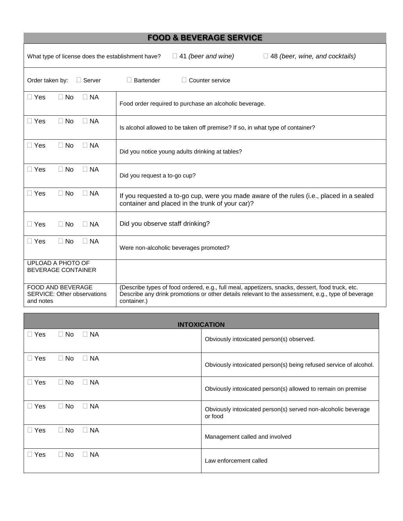| <b>FOOD &amp; BEVERAGE SERVICE</b>                                                                                      |                                                                                                                                                                                                                     |  |  |
|-------------------------------------------------------------------------------------------------------------------------|---------------------------------------------------------------------------------------------------------------------------------------------------------------------------------------------------------------------|--|--|
| $\Box$ 41 (beer and wine)<br>$\Box$ 48 (beer, wine, and cocktails)<br>What type of license does the establishment have? |                                                                                                                                                                                                                     |  |  |
| Order taken by:<br>$\Box$ Server                                                                                        | $\Box$ Bartender<br>$\Box$ Counter service                                                                                                                                                                          |  |  |
| $\Box$ Yes<br>$\Box$ No<br>$\Box$ NA                                                                                    | Food order required to purchase an alcoholic beverage.                                                                                                                                                              |  |  |
| $\Box$ Yes<br>$\Box$ No<br>$\Box$ NA                                                                                    | Is alcohol allowed to be taken off premise? If so, in what type of container?                                                                                                                                       |  |  |
| $\Box$ Yes<br>$\Box$ NA<br>$\Box$ No                                                                                    | Did you notice young adults drinking at tables?                                                                                                                                                                     |  |  |
| $\Box$ Yes<br>$\Box$ No<br>$\Box$ NA                                                                                    | Did you request a to-go cup?                                                                                                                                                                                        |  |  |
| $\Box$ NA<br>$\Box$ Yes<br>$\Box$ No                                                                                    | If you requested a to-go cup, were you made aware of the rules (i.e., placed in a sealed<br>container and placed in the trunk of your car)?                                                                         |  |  |
| $\Box$ Yes<br>$\Box$ No<br>$\Box$ NA                                                                                    | Did you observe staff drinking?                                                                                                                                                                                     |  |  |
| $\Box$ No<br>$\Box$ NA<br>$\Box$ Yes                                                                                    | Were non-alcoholic beverages promoted?                                                                                                                                                                              |  |  |
| <b>UPLOAD A PHOTO OF</b><br><b>BEVERAGE CONTAINER</b>                                                                   |                                                                                                                                                                                                                     |  |  |
| <b>FOOD AND BEVERAGE</b><br><b>SERVICE: Other observations</b><br>and notes                                             | (Describe types of food ordered, e.g., full meal, appetizers, snacks, dessert, food truck, etc.<br>Describe any drink promotions or other details relevant to the assessment, e.g., type of beverage<br>container.) |  |  |

| <b>INTOXICATION</b>  |           |           |                                                                          |
|----------------------|-----------|-----------|--------------------------------------------------------------------------|
| $\Box$ Yes           | $\Box$ No | $\Box$ NA | Obviously intoxicated person(s) observed.                                |
| Yes                  | $\Box$ No | $\Box$ NA | Obviously intoxicated person(s) being refused service of alcohol.        |
| $\Box$ Yes           | $\Box$ No | $\Box$ NA | Obviously intoxicated person(s) allowed to remain on premise             |
| Yes<br>$\mathcal{L}$ | $\Box$ No | $\Box$ NA | Obviously intoxicated person(s) served non-alcoholic beverage<br>or food |
| Yes<br>$\mathcal{L}$ | $\Box$ No | $\Box$ NA | Management called and involved                                           |
| Yes                  | $\Box$ No | $\Box$ NA | Law enforcement called                                                   |